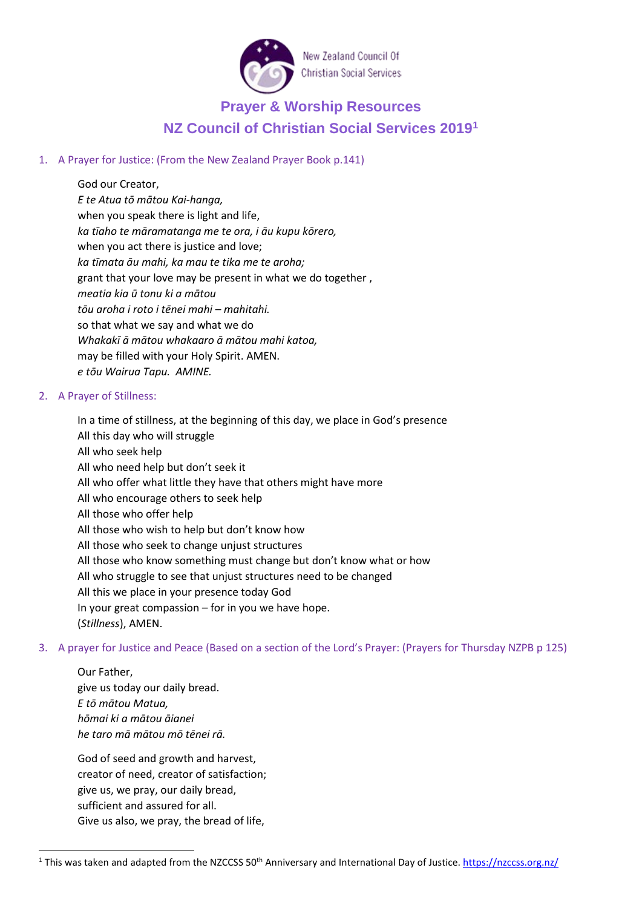

# **Prayer & Worship Resources NZ Council of Christian Social Services 2019[1](#page-0-0)**

## 1. A Prayer for Justice: (From the New Zealand Prayer Book p.141)

God our Creator, *E te Atua tō mātou Kai-hanga,* when you speak there is light and life, *ka tīaho te māramatanga me te ora, i āu kupu kōrero,* when you act there is justice and love; *ka tīmata āu mahi, ka mau te tika me te aroha;* grant that your love may be present in what we do together , *meatia kia ū tonu ki a mātou tōu aroha i roto i tēnei mahi – mahitahi.* so that what we say and what we do *Whakakī ā mātou whakaaro ā mātou mahi katoa,* may be filled with your Holy Spirit. AMEN. *e tōu Wairua Tapu. AMINE.* 

## 2. A Prayer of Stillness:

In a time of stillness, at the beginning of this day, we place in God's presence All this day who will struggle All who seek help All who need help but don't seek it All who offer what little they have that others might have more All who encourage others to seek help All those who offer help All those who wish to help but don't know how All those who seek to change unjust structures All those who know something must change but don't know what or how All who struggle to see that unjust structures need to be changed All this we place in your presence today God In your great compassion – for in you we have hope. (*Stillness*), AMEN.

3. A prayer for Justice and Peace (Based on a section of the Lord's Prayer: (Prayers for Thursday NZPB p 125)

Our Father, give us today our daily bread. *E tō mātou Matua, hōmai ki a mātou āianei he taro mā mātou mō tēnei rā.*

God of seed and growth and harvest, creator of need, creator of satisfaction; give us, we pray, our daily bread, sufficient and assured for all. Give us also, we pray, the bread of life,

<span id="page-0-0"></span><sup>&</sup>lt;sup>1</sup> This was taken and adapted from the NZCCSS  $50<sup>th</sup>$  Anniversary and International Day of Justice[. https://nzccss.org.nz/](https://nzccss.org.nz/)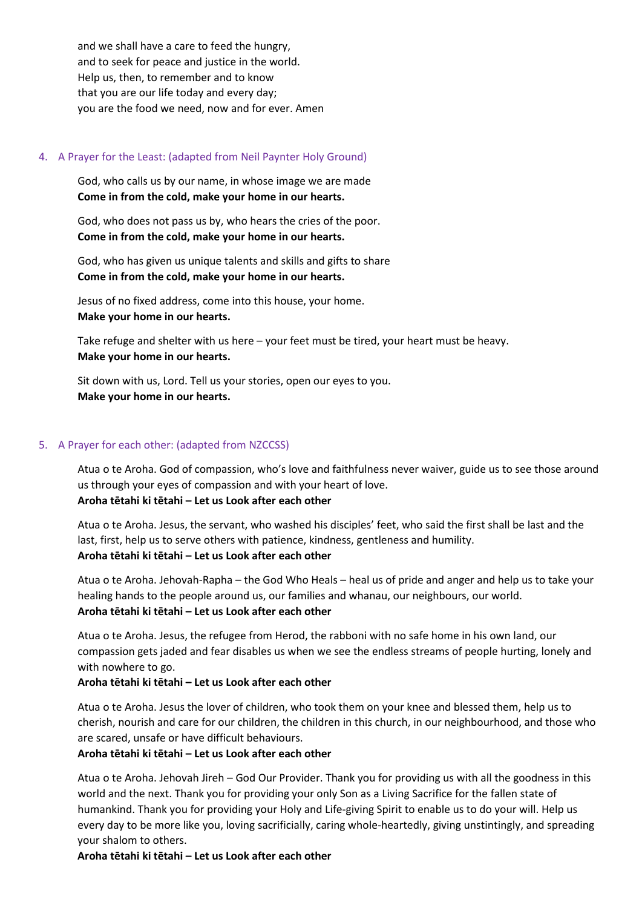and we shall have a care to feed the hungry, and to seek for peace and justice in the world. Help us, then, to remember and to know that you are our life today and every day; you are the food we need, now and for ever. Amen

## 4. A Prayer for the Least: (adapted from Neil Paynter Holy Ground)

God, who calls us by our name, in whose image we are made **Come in from the cold, make your home in our hearts.**

God, who does not pass us by, who hears the cries of the poor. **Come in from the cold, make your home in our hearts.**

God, who has given us unique talents and skills and gifts to share **Come in from the cold, make your home in our hearts.**

Jesus of no fixed address, come into this house, your home. **Make your home in our hearts.**

Take refuge and shelter with us here – your feet must be tired, your heart must be heavy. **Make your home in our hearts.**

Sit down with us, Lord. Tell us your stories, open our eyes to you. **Make your home in our hearts.**

## 5. A Prayer for each other: (adapted from NZCCSS)

Atua o te Aroha. God of compassion, who's love and faithfulness never waiver, guide us to see those around us through your eyes of compassion and with your heart of love.

#### **Aroha tētahi ki tētahi – Let us Look after each other**

Atua o te Aroha. Jesus, the servant, who washed his disciples' feet, who said the first shall be last and the last, first, help us to serve others with patience, kindness, gentleness and humility.

## **Aroha tētahi ki tētahi – Let us Look after each other**

Atua o te Aroha. Jehovah-Rapha – the God Who Heals – heal us of pride and anger and help us to take your healing hands to the people around us, our families and whanau, our neighbours, our world. **Aroha tētahi ki tētahi – Let us Look after each other**

Atua o te Aroha. Jesus, the refugee from Herod, the rabboni with no safe home in his own land, our compassion gets jaded and fear disables us when we see the endless streams of people hurting, lonely and with nowhere to go.

## **Aroha tētahi ki tētahi – Let us Look after each other**

Atua o te Aroha. Jesus the lover of children, who took them on your knee and blessed them, help us to cherish, nourish and care for our children, the children in this church, in our neighbourhood, and those who are scared, unsafe or have difficult behaviours.

## **Aroha tētahi ki tētahi – Let us Look after each other**

Atua o te Aroha. Jehovah Jireh – God Our Provider. Thank you for providing us with all the goodness in this world and the next. Thank you for providing your only Son as a Living Sacrifice for the fallen state of humankind. Thank you for providing your Holy and Life-giving Spirit to enable us to do your will. Help us every day to be more like you, loving sacrificially, caring whole-heartedly, giving unstintingly, and spreading your shalom to others.

#### **Aroha tētahi ki tētahi – Let us Look after each other**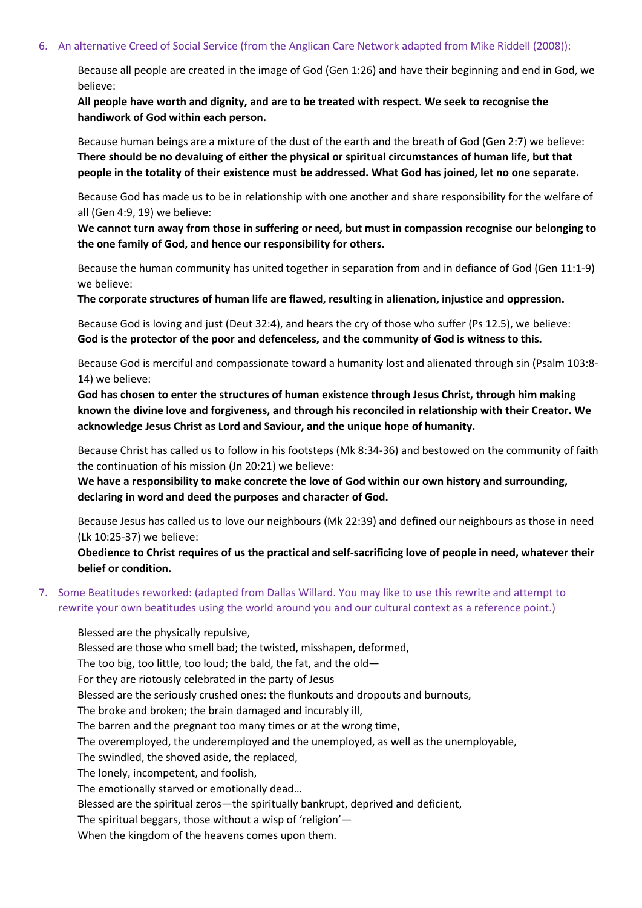#### 6. An alternative Creed of Social Service (from the Anglican Care Network adapted from Mike Riddell (2008)):

Because all people are created in the image of God (Gen 1:26) and have their beginning and end in God, we believe:

**All people have worth and dignity, and are to be treated with respect. We seek to recognise the handiwork of God within each person.**

Because human beings are a mixture of the dust of the earth and the breath of God (Gen 2:7) we believe: **There should be no devaluing of either the physical or spiritual circumstances of human life, but that people in the totality of their existence must be addressed. What God has joined, let no one separate.**

Because God has made us to be in relationship with one another and share responsibility for the welfare of all (Gen 4:9, 19) we believe:

**We cannot turn away from those in suffering or need, but must in compassion recognise our belonging to the one family of God, and hence our responsibility for others.**

Because the human community has united together in separation from and in defiance of God (Gen 11:1-9) we believe:

**The corporate structures of human life are flawed, resulting in alienation, injustice and oppression.**

Because God is loving and just (Deut 32:4), and hears the cry of those who suffer (Ps 12.5), we believe: **God is the protector of the poor and defenceless, and the community of God is witness to this.**

Because God is merciful and compassionate toward a humanity lost and alienated through sin (Psalm 103:8- 14) we believe:

**God has chosen to enter the structures of human existence through Jesus Christ, through him making known the divine love and forgiveness, and through his reconciled in relationship with their Creator. We acknowledge Jesus Christ as Lord and Saviour, and the unique hope of humanity.**

Because Christ has called us to follow in his footsteps (Mk 8:34-36) and bestowed on the community of faith the continuation of his mission (Jn 20:21) we believe:

**We have a responsibility to make concrete the love of God within our own history and surrounding, declaring in word and deed the purposes and character of God.**

Because Jesus has called us to love our neighbours (Mk 22:39) and defined our neighbours as those in need (Lk 10:25-37) we believe:

**Obedience to Christ requires of us the practical and self-sacrificing love of people in need, whatever their belief or condition.**

7. Some Beatitudes reworked: (adapted from Dallas Willard. You may like to use this rewrite and attempt to rewrite your own beatitudes using the world around you and our cultural context as a reference point.)

Blessed are the physically repulsive, Blessed are those who smell bad; the twisted, misshapen, deformed, The too big, too little, too loud; the bald, the fat, and the old— For they are riotously celebrated in the party of Jesus Blessed are the seriously crushed ones: the flunkouts and dropouts and burnouts, The broke and broken; the brain damaged and incurably ill, The barren and the pregnant too many times or at the wrong time, The overemployed, the underemployed and the unemployed, as well as the unemployable, The swindled, the shoved aside, the replaced, The lonely, incompetent, and foolish, The emotionally starved or emotionally dead… Blessed are the spiritual zeros—the spiritually bankrupt, deprived and deficient, The spiritual beggars, those without a wisp of 'religion'—

When the kingdom of the heavens comes upon them.